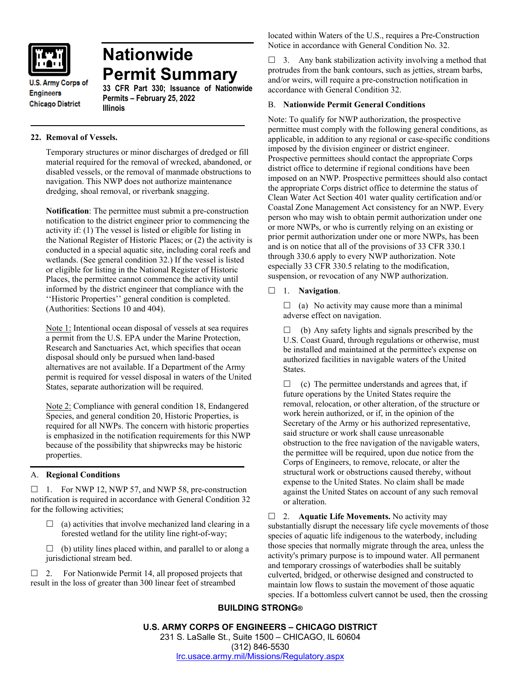

# **Nationwide Permit Summary**

**U.S. Army Corps of Engineers Chicago District** 

**33 CFR Part 330; Issuance of Nationwide Permits – February 25, 2022 Illinois**

## **22. Removal of Vessels.**

Temporary structures or minor discharges of dredged or fill material required for the removal of wrecked, abandoned, or disabled vessels, or the removal of manmade obstructions to navigation. This NWP does not authorize maintenance dredging, shoal removal, or riverbank snagging.

**Notification**: The permittee must submit a pre-construction notification to the district engineer prior to commencing the activity if: (1) The vessel is listed or eligible for listing in the National Register of Historic Places; or (2) the activity is conducted in a special aquatic site, including coral reefs and wetlands. (See general condition 32.) If the vessel is listed or eligible for listing in the National Register of Historic Places, the permittee cannot commence the activity until informed by the district engineer that compliance with the ''Historic Properties'' general condition is completed. (Authorities: Sections 10 and 404).

Note 1: Intentional ocean disposal of vessels at sea requires a permit from the U.S. EPA under the Marine Protection, Research and Sanctuaries Act, which specifies that ocean disposal should only be pursued when land-based alternatives are not available. If a Department of the Army permit is required for vessel disposal in waters of the United States, separate authorization will be required.

Note 2: Compliance with general condition 18, Endangered Species, and general condition 20, Historic Properties, is required for all NWPs. The concern with historic properties is emphasized in the notification requirements for this NWP because of the possibility that shipwrecks may be historic properties.

## A. **Regional Conditions**

 $\Box$  1. For NWP 12, NWP 57, and NWP 58, pre-construction notification is required in accordance with General Condition 32 for the following activities;

 $\Box$  (a) activities that involve mechanized land clearing in a forested wetland for the utility line right-of-way;

 $\Box$  (b) utility lines placed within, and parallel to or along a jurisdictional stream bed.

 $\Box$  2. For Nationwide Permit 14, all proposed projects that result in the loss of greater than 300 linear feet of streambed

located within Waters of the U.S., requires a Pre-Construction Notice in accordance with General Condition No. 32.

 $\Box$  3. Any bank stabilization activity involving a method that protrudes from the bank contours, such as jetties, stream barbs, and/or weirs, will require a pre-construction notification in accordance with General Condition 32.

## B. **Nationwide Permit General Conditions**

Note: To qualify for NWP authorization, the prospective permittee must comply with the following general conditions, as applicable, in addition to any regional or case-specific conditions imposed by the division engineer or district engineer. Prospective permittees should contact the appropriate Corps district office to determine if regional conditions have been imposed on an NWP. Prospective permittees should also contact the appropriate Corps district office to determine the status of Clean Water Act Section 401 water quality certification and/or Coastal Zone Management Act consistency for an NWP. Every person who may wish to obtain permit authorization under one or more NWPs, or who is currently relying on an existing or prior permit authorization under one or more NWPs, has been and is on notice that all of the provisions of 33 CFR 330.1 through 330.6 apply to every NWP authorization. Note especially 33 CFR 330.5 relating to the modification, suspension, or revocation of any NWP authorization.

1. **Navigation**.

 $\Box$  (a) No activity may cause more than a minimal adverse effect on navigation.

 $\Box$  (b) Any safety lights and signals prescribed by the U.S. Coast Guard, through regulations or otherwise, must be installed and maintained at the permittee's expense on authorized facilities in navigable waters of the United States.

 $\Box$  (c) The permittee understands and agrees that, if future operations by the United States require the removal, relocation, or other alteration, of the structure or work herein authorized, or if, in the opinion of the Secretary of the Army or his authorized representative, said structure or work shall cause unreasonable obstruction to the free navigation of the navigable waters, the permittee will be required, upon due notice from the Corps of Engineers, to remove, relocate, or alter the structural work or obstructions caused thereby, without expense to the United States. No claim shall be made against the United States on account of any such removal or alteration.

□ 2. **Aquatic Life Movements.** No activity may substantially disrupt the necessary life cycle movements of those species of aquatic life indigenous to the waterbody, including those species that normally migrate through the area, unless the activity's primary purpose is to impound water. All permanent and temporary crossings of waterbodies shall be suitably culverted, bridged, or otherwise designed and constructed to maintain low flows to sustain the movement of those aquatic species. If a bottomless culvert cannot be used, then the crossing

# **BUILDING STRONG®**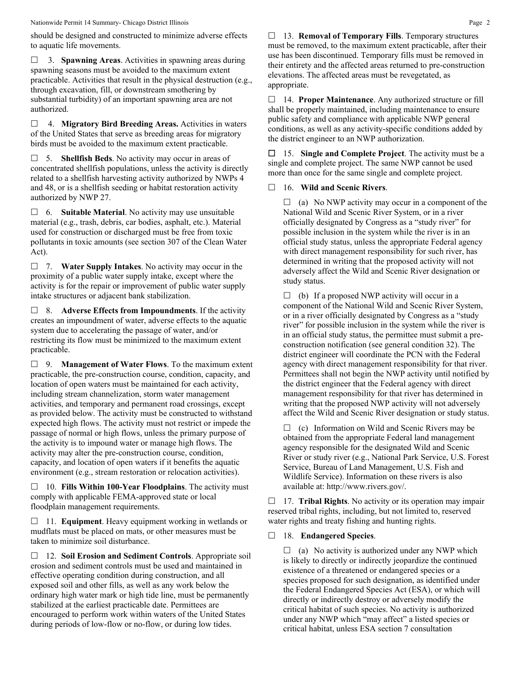should be designed and constructed to minimize adverse effects to aquatic life movements.

 3. **Spawning Areas**. Activities in spawning areas during spawning seasons must be avoided to the maximum extent practicable. Activities that result in the physical destruction (e.g., through excavation, fill, or downstream smothering by substantial turbidity) of an important spawning area are not authorized.

 4. **Migratory Bird Breeding Areas.** Activities in waters of the United States that serve as breeding areas for migratory birds must be avoided to the maximum extent practicable.

 5. **Shellfish Beds**. No activity may occur in areas of concentrated shellfish populations, unless the activity is directly related to a shellfish harvesting activity authorized by NWPs 4 and 48, or is a shellfish seeding or habitat restoration activity authorized by NWP 27.

 6. **Suitable Material**. No activity may use unsuitable material (e.g., trash, debris, car bodies, asphalt, etc.). Material used for construction or discharged must be free from toxic pollutants in toxic amounts (see section 307 of the Clean Water Act).

 7. **Water Supply Intakes**. No activity may occur in the proximity of a public water supply intake, except where the activity is for the repair or improvement of public water supply intake structures or adjacent bank stabilization.

 8. **Adverse Effects from Impoundments**. If the activity creates an impoundment of water, adverse effects to the aquatic system due to accelerating the passage of water, and/or restricting its flow must be minimized to the maximum extent practicable.

 9. **Management of Water Flows**. To the maximum extent practicable, the pre-construction course, condition, capacity, and location of open waters must be maintained for each activity, including stream channelization, storm water management activities, and temporary and permanent road crossings, except as provided below. The activity must be constructed to withstand expected high flows. The activity must not restrict or impede the passage of normal or high flows, unless the primary purpose of the activity is to impound water or manage high flows. The activity may alter the pre-construction course, condition, capacity, and location of open waters if it benefits the aquatic environment (e.g., stream restoration or relocation activities).

 10. **Fills Within 100-Year Floodplains**. The activity must comply with applicable FEMA-approved state or local floodplain management requirements.

□ 11. **Equipment**. Heavy equipment working in wetlands or mudflats must be placed on mats, or other measures must be taken to minimize soil disturbance.

 12. **Soil Erosion and Sediment Controls**. Appropriate soil erosion and sediment controls must be used and maintained in effective operating condition during construction, and all exposed soil and other fills, as well as any work below the ordinary high water mark or high tide line, must be permanently stabilized at the earliest practicable date. Permittees are encouraged to perform work within waters of the United States during periods of low-flow or no-flow, or during low tides.

 13. **Removal of Temporary Fills**. Temporary structures must be removed, to the maximum extent practicable, after their use has been discontinued. Temporary fills must be removed in their entirety and the affected areas returned to pre-construction elevations. The affected areas must be revegetated, as appropriate.

 14. **Proper Maintenance**. Any authorized structure or fill shall be properly maintained, including maintenance to ensure public safety and compliance with applicable NWP general conditions, as well as any activity-specific conditions added by the district engineer to an NWP authorization.

 15. **Single and Complete Project**. The activity must be a single and complete project. The same NWP cannot be used more than once for the same single and complete project.

## 16. **Wild and Scenic Rivers**.

 $\Box$  (a) No NWP activity may occur in a component of the National Wild and Scenic River System, or in a river officially designated by Congress as a "study river" for possible inclusion in the system while the river is in an official study status, unless the appropriate Federal agency with direct management responsibility for such river, has determined in writing that the proposed activity will not adversely affect the Wild and Scenic River designation or study status.

 $\Box$  (b) If a proposed NWP activity will occur in a component of the National Wild and Scenic River System, or in a river officially designated by Congress as a "study river" for possible inclusion in the system while the river is in an official study status, the permittee must submit a preconstruction notification (see general condition 32). The district engineer will coordinate the PCN with the Federal agency with direct management responsibility for that river. Permittees shall not begin the NWP activity until notified by the district engineer that the Federal agency with direct management responsibility for that river has determined in writing that the proposed NWP activity will not adversely affect the Wild and Scenic River designation or study status.

 $\Box$  (c) Information on Wild and Scenic Rivers may be obtained from the appropriate Federal land management agency responsible for the designated Wild and Scenic River or study river (e.g., National Park Service, U.S. Forest Service, Bureau of Land Management, U.S. Fish and Wildlife Service). Information on these rivers is also available at: http://www.rivers.gov/.

 17. **Tribal Rights**. No activity or its operation may impair reserved tribal rights, including, but not limited to, reserved water rights and treaty fishing and hunting rights.

## 18. **Endangered Species**.

 $\Box$  (a) No activity is authorized under any NWP which is likely to directly or indirectly jeopardize the continued existence of a threatened or endangered species or a species proposed for such designation, as identified under the Federal Endangered Species Act (ESA), or which will directly or indirectly destroy or adversely modify the critical habitat of such species. No activity is authorized under any NWP which "may affect" a listed species or critical habitat, unless ESA section 7 consultation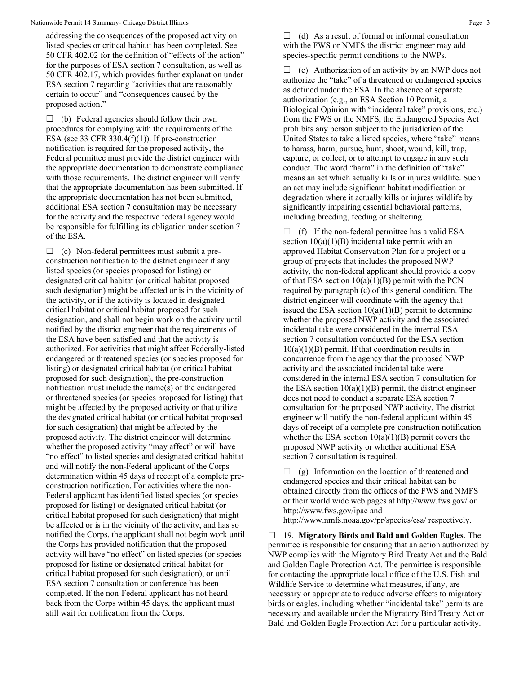addressing the consequences of the proposed activity on listed species or critical habitat has been completed. See 50 CFR 402.02 for the definition of "effects of the action" for the purposes of ESA section 7 consultation, as well as 50 CFR 402.17, which provides further explanation under ESA section 7 regarding "activities that are reasonably certain to occur" and "consequences caused by the proposed action."

 $\Box$  (b) Federal agencies should follow their own procedures for complying with the requirements of the ESA (see 33 CFR 330.4 $(f)(1)$ ). If pre-construction notification is required for the proposed activity, the Federal permittee must provide the district engineer with the appropriate documentation to demonstrate compliance with those requirements. The district engineer will verify that the appropriate documentation has been submitted. If the appropriate documentation has not been submitted, additional ESA section 7 consultation may be necessary for the activity and the respective federal agency would be responsible for fulfilling its obligation under section 7 of the ESA.

 $\Box$  (c) Non-federal permittees must submit a preconstruction notification to the district engineer if any listed species (or species proposed for listing) or designated critical habitat (or critical habitat proposed such designation) might be affected or is in the vicinity of the activity, or if the activity is located in designated critical habitat or critical habitat proposed for such designation, and shall not begin work on the activity until notified by the district engineer that the requirements of the ESA have been satisfied and that the activity is authorized. For activities that might affect Federally-listed endangered or threatened species (or species proposed for listing) or designated critical habitat (or critical habitat proposed for such designation), the pre-construction notification must include the name(s) of the endangered or threatened species (or species proposed for listing) that might be affected by the proposed activity or that utilize the designated critical habitat (or critical habitat proposed for such designation) that might be affected by the proposed activity. The district engineer will determine whether the proposed activity "may affect" or will have "no effect" to listed species and designated critical habitat and will notify the non-Federal applicant of the Corps' determination within 45 days of receipt of a complete preconstruction notification. For activities where the non-Federal applicant has identified listed species (or species proposed for listing) or designated critical habitat (or critical habitat proposed for such designation) that might be affected or is in the vicinity of the activity, and has so notified the Corps, the applicant shall not begin work until the Corps has provided notification that the proposed activity will have "no effect" on listed species (or species proposed for listing or designated critical habitat (or critical habitat proposed for such designation), or until ESA section 7 consultation or conference has been completed. If the non-Federal applicant has not heard back from the Corps within 45 days, the applicant must still wait for notification from the Corps.

 $\Box$  (d) As a result of formal or informal consultation with the FWS or NMFS the district engineer may add species-specific permit conditions to the NWPs.

 $\Box$  (e) Authorization of an activity by an NWP does not authorize the "take" of a threatened or endangered species as defined under the ESA. In the absence of separate authorization (e.g., an ESA Section 10 Permit, a Biological Opinion with "incidental take" provisions, etc.) from the FWS or the NMFS, the Endangered Species Act prohibits any person subject to the jurisdiction of the United States to take a listed species, where "take" means to harass, harm, pursue, hunt, shoot, wound, kill, trap, capture, or collect, or to attempt to engage in any such conduct. The word "harm" in the definition of "take" means an act which actually kills or injures wildlife. Such an act may include significant habitat modification or degradation where it actually kills or injures wildlife by significantly impairing essential behavioral patterns, including breeding, feeding or sheltering.

 $\Box$  (f) If the non-federal permittee has a valid ESA section  $10(a)(1)(B)$  incidental take permit with an approved Habitat Conservation Plan for a project or a group of projects that includes the proposed NWP activity, the non-federal applicant should provide a copy of that ESA section  $10(a)(1)(B)$  permit with the PCN required by paragraph (c) of this general condition. The district engineer will coordinate with the agency that issued the ESA section  $10(a)(1)(B)$  permit to determine whether the proposed NWP activity and the associated incidental take were considered in the internal ESA section 7 consultation conducted for the ESA section  $10(a)(1)(B)$  permit. If that coordination results in concurrence from the agency that the proposed NWP activity and the associated incidental take were considered in the internal ESA section 7 consultation for the ESA section  $10(a)(1)(B)$  permit, the district engineer does not need to conduct a separate ESA section 7 consultation for the proposed NWP activity. The district engineer will notify the non-federal applicant within 45 days of receipt of a complete pre-construction notification whether the ESA section  $10(a)(1)(B)$  permit covers the proposed NWP activity or whether additional ESA section 7 consultation is required.

 $\Box$  (g) Information on the location of threatened and endangered species and their critical habitat can be obtained directly from the offices of the FWS and NMFS or their world wide web pages at http://www.fws.gov/ or http://www.fws.gov/ipac and http://www.nmfs.noaa.gov/pr/species/esa/ respectively.

 19. **Migratory Birds and Bald and Golden Eagles**. The permittee is responsible for ensuring that an action authorized by NWP complies with the Migratory Bird Treaty Act and the Bald and Golden Eagle Protection Act. The permittee is responsible for contacting the appropriate local office of the U.S. Fish and Wildlife Service to determine what measures, if any, are necessary or appropriate to reduce adverse effects to migratory birds or eagles, including whether "incidental take" permits are necessary and available under the Migratory Bird Treaty Act or Bald and Golden Eagle Protection Act for a particular activity.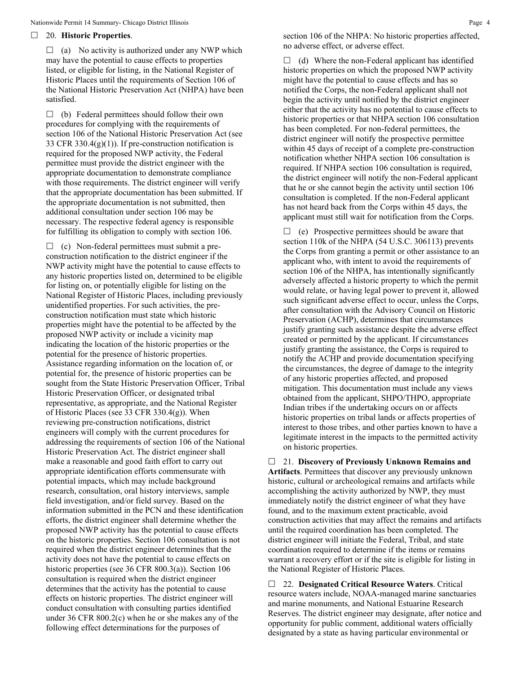## 20. **Historic Properties**.

 $\Box$  (a) No activity is authorized under any NWP which may have the potential to cause effects to properties listed, or eligible for listing, in the National Register of Historic Places until the requirements of Section 106 of the National Historic Preservation Act (NHPA) have been satisfied.

 $\Box$  (b) Federal permittees should follow their own procedures for complying with the requirements of section 106 of the National Historic Preservation Act (see 33 CFR 330.4(g)(1)). If pre-construction notification is required for the proposed NWP activity, the Federal permittee must provide the district engineer with the appropriate documentation to demonstrate compliance with those requirements. The district engineer will verify that the appropriate documentation has been submitted. If the appropriate documentation is not submitted, then additional consultation under section 106 may be necessary. The respective federal agency is responsible for fulfilling its obligation to comply with section 106.

 $\Box$  (c) Non-federal permittees must submit a preconstruction notification to the district engineer if the NWP activity might have the potential to cause effects to any historic properties listed on, determined to be eligible for listing on, or potentially eligible for listing on the National Register of Historic Places, including previously unidentified properties. For such activities, the preconstruction notification must state which historic properties might have the potential to be affected by the proposed NWP activity or include a vicinity map indicating the location of the historic properties or the potential for the presence of historic properties. Assistance regarding information on the location of, or potential for, the presence of historic properties can be sought from the State Historic Preservation Officer, Tribal Historic Preservation Officer, or designated tribal representative, as appropriate, and the National Register of Historic Places (see 33 CFR 330.4(g)). When reviewing pre-construction notifications, district engineers will comply with the current procedures for addressing the requirements of section 106 of the National Historic Preservation Act. The district engineer shall make a reasonable and good faith effort to carry out appropriate identification efforts commensurate with potential impacts, which may include background research, consultation, oral history interviews, sample field investigation, and/or field survey. Based on the information submitted in the PCN and these identification efforts, the district engineer shall determine whether the proposed NWP activity has the potential to cause effects on the historic properties. Section 106 consultation is not required when the district engineer determines that the activity does not have the potential to cause effects on historic properties (see 36 CFR 800.3(a)). Section 106 consultation is required when the district engineer determines that the activity has the potential to cause effects on historic properties. The district engineer will conduct consultation with consulting parties identified under 36 CFR 800.2(c) when he or she makes any of the following effect determinations for the purposes of

section 106 of the NHPA: No historic properties affected, no adverse effect, or adverse effect.

 $\Box$  (d) Where the non-Federal applicant has identified historic properties on which the proposed NWP activity might have the potential to cause effects and has so notified the Corps, the non-Federal applicant shall not begin the activity until notified by the district engineer either that the activity has no potential to cause effects to historic properties or that NHPA section 106 consultation has been completed. For non-federal permittees, the district engineer will notify the prospective permittee within 45 days of receipt of a complete pre-construction notification whether NHPA section 106 consultation is required. If NHPA section 106 consultation is required, the district engineer will notify the non-Federal applicant that he or she cannot begin the activity until section 106 consultation is completed. If the non-Federal applicant has not heard back from the Corps within 45 days, the applicant must still wait for notification from the Corps.

 $\Box$  (e) Prospective permittees should be aware that section 110k of the NHPA (54 U.S.C. 306113) prevents the Corps from granting a permit or other assistance to an applicant who, with intent to avoid the requirements of section 106 of the NHPA, has intentionally significantly adversely affected a historic property to which the permit would relate, or having legal power to prevent it, allowed such significant adverse effect to occur, unless the Corps, after consultation with the Advisory Council on Historic Preservation (ACHP), determines that circumstances justify granting such assistance despite the adverse effect created or permitted by the applicant. If circumstances justify granting the assistance, the Corps is required to notify the ACHP and provide documentation specifying the circumstances, the degree of damage to the integrity of any historic properties affected, and proposed mitigation. This documentation must include any views obtained from the applicant, SHPO/THPO, appropriate Indian tribes if the undertaking occurs on or affects historic properties on tribal lands or affects properties of interest to those tribes, and other parties known to have a legitimate interest in the impacts to the permitted activity on historic properties.

 21. **Discovery of Previously Unknown Remains and Artifacts**. Permittees that discover any previously unknown historic, cultural or archeological remains and artifacts while accomplishing the activity authorized by NWP, they must immediately notify the district engineer of what they have found, and to the maximum extent practicable, avoid construction activities that may affect the remains and artifacts until the required coordination has been completed. The district engineer will initiate the Federal, Tribal, and state coordination required to determine if the items or remains warrant a recovery effort or if the site is eligible for listing in the National Register of Historic Places.

 22. **Designated Critical Resource Waters**. Critical resource waters include, NOAA-managed marine sanctuaries and marine monuments, and National Estuarine Research Reserves. The district engineer may designate, after notice and opportunity for public comment, additional waters officially designated by a state as having particular environmental or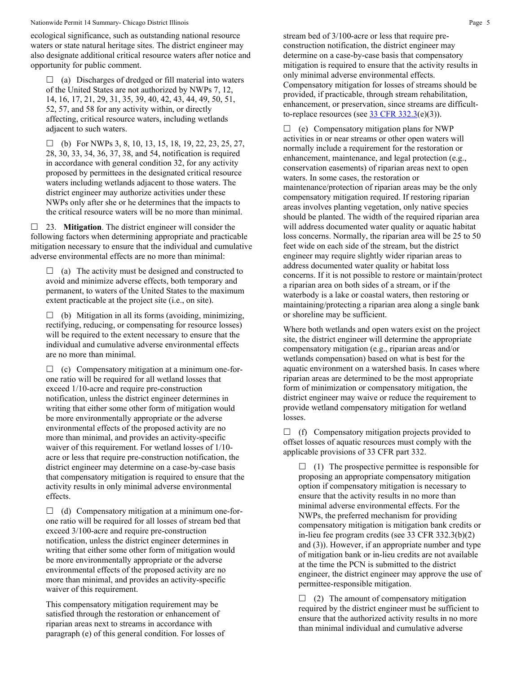ecological significance, such as outstanding national resource waters or state natural heritage sites. The district engineer may also designate additional critical resource waters after notice and opportunity for public comment.

 $\Box$  (a) Discharges of dredged or fill material into waters of the United States are not authorized by NWPs 7, 12, 14, 16, 17, 21, 29, 31, 35, 39, 40, 42, 43, 44, 49, 50, 51, 52, 57, and 58 for any activity within, or directly affecting, critical resource waters, including wetlands adjacent to such waters.

 $\Box$  (b) For NWPs 3, 8, 10, 13, 15, 18, 19, 22, 23, 25, 27, 28, 30, 33, 34, 36, 37, 38, and 54, notification is required in accordance with general condition 32, for any activity proposed by permittees in the designated critical resource waters including wetlands adjacent to those waters. The district engineer may authorize activities under these NWPs only after she or he determines that the impacts to the critical resource waters will be no more than minimal.

 23. **Mitigation**. The district engineer will consider the following factors when determining appropriate and practicable mitigation necessary to ensure that the individual and cumulative adverse environmental effects are no more than minimal:

 $\Box$  (a) The activity must be designed and constructed to avoid and minimize adverse effects, both temporary and permanent, to waters of the United States to the maximum extent practicable at the project site (i.e., on site).

 $\Box$  (b) Mitigation in all its forms (avoiding, minimizing, rectifying, reducing, or compensating for resource losses) will be required to the extent necessary to ensure that the individual and cumulative adverse environmental effects are no more than minimal.

 $\Box$  (c) Compensatory mitigation at a minimum one-forone ratio will be required for all wetland losses that exceed 1/10-acre and require pre-construction notification, unless the district engineer determines in writing that either some other form of mitigation would be more environmentally appropriate or the adverse environmental effects of the proposed activity are no more than minimal, and provides an activity-specific waiver of this requirement. For wetland losses of 1/10 acre or less that require pre-construction notification, the district engineer may determine on a case-by-case basis that compensatory mitigation is required to ensure that the activity results in only minimal adverse environmental effects.

 $\Box$  (d) Compensatory mitigation at a minimum one-forone ratio will be required for all losses of stream bed that exceed 3/100-acre and require pre-construction notification, unless the district engineer determines in writing that either some other form of mitigation would be more environmentally appropriate or the adverse environmental effects of the proposed activity are no more than minimal, and provides an activity-specific waiver of this requirement.

This compensatory mitigation requirement may be satisfied through the restoration or enhancement of riparian areas next to streams in accordance with paragraph (e) of this general condition. For losses of stream bed of 3/100-acre or less that require preconstruction notification, the district engineer may determine on a case-by-case basis that compensatory mitigation is required to ensure that the activity results in only minimal adverse environmental effects. Compensatory mitigation for losses of streams should be provided, if practicable, through stream rehabilitation, enhancement, or preservation, since streams are difficultto-replace resources (see  $33$  CFR  $332.3(e)(3)$ ).

 $\Box$  (e) Compensatory mitigation plans for NWP activities in or near streams or other open waters will normally include a requirement for the restoration or enhancement, maintenance, and legal protection (e.g., conservation easements) of riparian areas next to open waters. In some cases, the restoration or maintenance/protection of riparian areas may be the only compensatory mitigation required. If restoring riparian areas involves planting vegetation, only native species should be planted. The width of the required riparian area will address documented water quality or aquatic habitat loss concerns. Normally, the riparian area will be 25 to 50 feet wide on each side of the stream, but the district engineer may require slightly wider riparian areas to address documented water quality or habitat loss concerns. If it is not possible to restore or maintain/protect a riparian area on both sides of a stream, or if the waterbody is a lake or coastal waters, then restoring or maintaining/protecting a riparian area along a single bank or shoreline may be sufficient.

Where both wetlands and open waters exist on the project site, the district engineer will determine the appropriate compensatory mitigation (e.g., riparian areas and/or wetlands compensation) based on what is best for the aquatic environment on a watershed basis. In cases where riparian areas are determined to be the most appropriate form of minimization or compensatory mitigation, the district engineer may waive or reduce the requirement to provide wetland compensatory mitigation for wetland losses.

 $\Box$  (f) Compensatory mitigation projects provided to offset losses of aquatic resources must comply with the applicable provisions of 33 CFR part 332.

 $\Box$  (1) The prospective permittee is responsible for proposing an appropriate compensatory mitigation option if compensatory mitigation is necessary to ensure that the activity results in no more than minimal adverse environmental effects. For the NWPs, the preferred mechanism for providing compensatory mitigation is mitigation bank credits or in-lieu fee program credits (see 33 CFR 332.3(b)(2) and (3)). However, if an appropriate number and type of mitigation bank or in-lieu credits are not available at the time the PCN is submitted to the district engineer, the district engineer may approve the use of permittee-responsible mitigation.

 $\Box$  (2) The amount of compensatory mitigation required by the district engineer must be sufficient to ensure that the authorized activity results in no more than minimal individual and cumulative adverse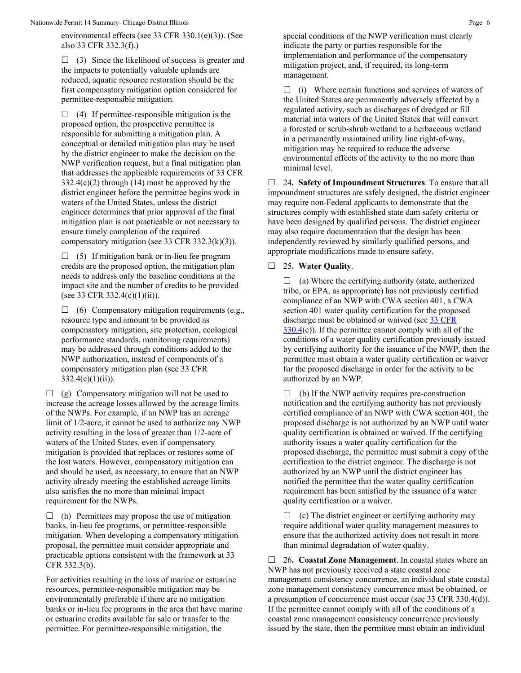environmental effects (see 33 CFR 330.1(e)(3)). (See also 33 CFR 332.3(f).)

 $\Box$  (3) Since the likelihood of success is greater and the impacts to potentially valuable uplands are reduced, aquatic resource restoration should be the first compensatory mitigation option considered for permittee-responsible mitigation.

 $\Box$  (4) If permittee-responsible mitigation is the proposed option, the prospective permittee is responsible for submitting a mitigation plan. A conceptual or detailed mitigation plan may be used by the district engineer to make the decision on the NWP verification request, but a final mitigation plan that addresses the applicable requirements of 33 CFR  $332.4(c)(2)$  through (14) must be approved by the district engineer before the permittee begins work in waters of the United States, unless the district engineer determines that prior approval of the final mitigation plan is not practicable or not necessary to ensure timely completion of the required compensatory mitigation (see 33 CFR 332.3(k)(3)).

 $\Box$  (5) If mitigation bank or in-lieu fee program credits are the proposed option, the mitigation plan needs to address only the baseline conditions at the impact site and the number of credits to be provided (see 33 CFR 332.4(c)(1)(ii)).

 $\Box$  (6) Compensatory mitigation requirements (e.g., resource type and amount to be provided as compensatory mitigation, site protection, ecological performance standards, monitoring requirements) may be addressed through conditions added to the NWP authorization, instead of components of a compensatory mitigation plan (see 33 CFR  $332.4(c)(1)(ii)$ ).

 $\Box$  (g) Compensatory mitigation will not be used to increase the acreage losses allowed by the acreage limits of the NWPs. For example, if an NWP has an acreage limit of 1/2-acre, it cannot be used to authorize any NWP activity resulting in the loss of greater than 1/2-acre of waters of the United States, even if compensatory mitigation is provided that replaces or restores some of the lost waters. However, compensatory mitigation can and should be used, as necessary, to ensure that an NWP activity already meeting the established acreage limits also satisfies the no more than minimal impact requirement for the NWPs.

 $\Box$  (h) Permittees may propose the use of mitigation banks, in-lieu fee programs, or permittee-responsible mitigation. When developing a compensatory mitigation proposal, the permittee must consider appropriate and practicable options consistent with the framework at 33 CFR 332.3(b).

For activities resulting in the loss of marine or estuarine resources, permittee-responsible mitigation may be environmentally preferable if there are no mitigation banks or in-lieu fee programs in the area that have marine or estuarine credits available for sale or transfer to the permittee. For permittee-responsible mitigation, the

special conditions of the NWP verification must clearly indicate the party or parties responsible for the implementation and performance of the compensatory mitigation project, and, if required, its long-term management.

 $\Box$  (i) Where certain functions and services of waters of the United States are permanently adversely affected by a regulated activity, such as discharges of dredged or fill material into waters of the United States that will convert a forested or scrub-shrub wetland to a herbaceous wetland in a permanently maintained utility line right-of-way, mitigation may be required to reduce the adverse environmental effects of the activity to the no more than minimal level.

 24**. Safety of Impoundment Structures**. To ensure that all impoundment structures are safely designed, the district engineer may require non-Federal applicants to demonstrate that the structures comply with established state dam safety criteria or have been designed by qualified persons. The district engineer may also require documentation that the design has been independently reviewed by similarly qualified persons, and appropriate modifications made to ensure safety.

## 25**. Water Quality**.

 $\Box$  (a) Where the certifying authority (state, authorized tribe, or EPA, as appropriate) has not previously certified compliance of an NWP with CWA section 401, a CWA section 401 water quality certification for the proposed discharge must be obtained or waived (see 33 CFR [330.4\(](https://www.federalregister.gov/select-citation/2021/01/13/33-CFR-330.4)c)). If the permittee cannot comply with all of the conditions of a water quality certification previously issued by certifying authority for the issuance of the NWP, then the permittee must obtain a water quality certification or waiver for the proposed discharge in order for the activity to be authorized by an NWP.

 $\Box$  (b) If the NWP activity requires pre-construction notification and the certifying authority has not previously certified compliance of an NWP with CWA section 401, the proposed discharge is not authorized by an NWP until water quality certification is obtained or waived. If the certifying authority issues a water quality certification for the proposed discharge, the permittee must submit a copy of the certification to the district engineer. The discharge is not authorized by an NWP until the district engineer has notified the permittee that the water quality certification requirement has been satisfied by the issuance of a water quality certification or a waiver.

 $\Box$  (c) The district engineer or certifying authority may require additional water quality management measures to ensure that the authorized activity does not result in more than minimal degradation of water quality.

 26**. Coastal Zone Management**. In coastal states where an NWP has not previously received a state coastal zone management consistency concurrence, an individual state coastal zone management consistency concurrence must be obtained, or a presumption of concurrence must occur (see 33 CFR 330.4(d)). If the permittee cannot comply with all of the conditions of a coastal zone management consistency concurrence previously issued by the state, then the permittee must obtain an individual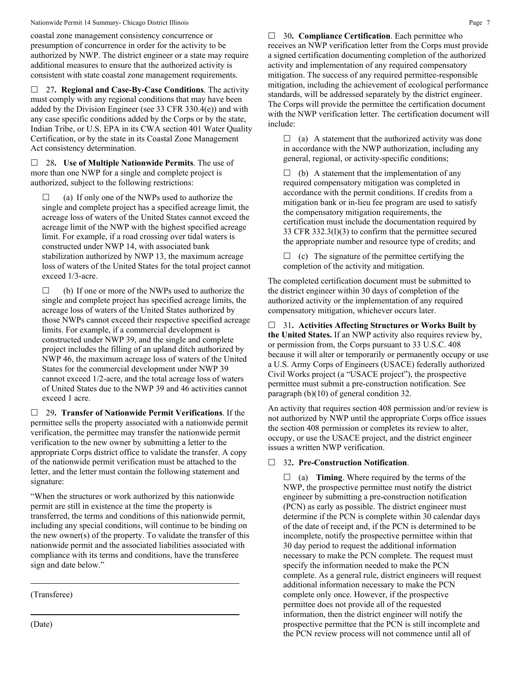coastal zone management consistency concurrence or presumption of concurrence in order for the activity to be authorized by NWP. The district engineer or a state may require additional measures to ensure that the authorized activity is consistent with state coastal zone management requirements.

 27**. Regional and Case-By-Case Conditions**. The activity must comply with any regional conditions that may have been added by the Division Engineer (see 33 CFR 330.4(e)) and with any case specific conditions added by the Corps or by the state, Indian Tribe, or U.S. EPA in its CWA section 401 Water Quality Certification, or by the state in its Coastal Zone Management Act consistency determination.

 28**. Use of Multiple Nationwide Permits**. The use of more than one NWP for a single and complete project is authorized, subject to the following restrictions:

 $\Box$  (a) If only one of the NWPs used to authorize the single and complete project has a specified acreage limit, the acreage loss of waters of the United States cannot exceed the acreage limit of the NWP with the highest specified acreage limit. For example, if a road crossing over tidal waters is constructed under NWP 14, with associated bank stabilization authorized by NWP 13, the maximum acreage loss of waters of the United States for the total project cannot exceed 1/3-acre.

 $\Box$  (b) If one or more of the NWPs used to authorize the single and complete project has specified acreage limits, the acreage loss of waters of the United States authorized by those NWPs cannot exceed their respective specified acreage limits. For example, if a commercial development is constructed under NWP 39, and the single and complete project includes the filling of an upland ditch authorized by NWP 46, the maximum acreage loss of waters of the United States for the commercial development under NWP 39 cannot exceed 1/2-acre, and the total acreage loss of waters of United States due to the NWP 39 and 46 activities cannot exceed 1 acre.

 29**. Transfer of Nationwide Permit Verifications**. If the permittee sells the property associated with a nationwide permit verification, the permittee may transfer the nationwide permit verification to the new owner by submitting a letter to the appropriate Corps district office to validate the transfer. A copy of the nationwide permit verification must be attached to the letter, and the letter must contain the following statement and signature:

"When the structures or work authorized by this nationwide permit are still in existence at the time the property is transferred, the terms and conditions of this nationwide permit, including any special conditions, will continue to be binding on the new owner(s) of the property. To validate the transfer of this nationwide permit and the associated liabilities associated with compliance with its terms and conditions, have the transferee sign and date below."

(Transferee)

□ 30. **Compliance Certification**. Each permittee who receives an NWP verification letter from the Corps must provide a signed certification documenting completion of the authorized activity and implementation of any required compensatory mitigation. The success of any required permittee-responsible mitigation, including the achievement of ecological performance standards, will be addressed separately by the district engineer. The Corps will provide the permittee the certification document with the NWP verification letter. The certification document will include:

 $\Box$  (a) A statement that the authorized activity was done in accordance with the NWP authorization, including any general, regional, or activity-specific conditions;

 $\Box$  (b) A statement that the implementation of any required compensatory mitigation was completed in accordance with the permit conditions. If credits from a mitigation bank or in-lieu fee program are used to satisfy the compensatory mitigation requirements, the certification must include the documentation required by 33 CFR 332.3(l)(3) to confirm that the permittee secured the appropriate number and resource type of credits; and

 $\Box$  (c) The signature of the permittee certifying the completion of the activity and mitigation.

The completed certification document must be submitted to the district engineer within 30 days of completion of the authorized activity or the implementation of any required compensatory mitigation, whichever occurs later.

 31**. Activities Affecting Structures or Works Built by the United States.** If an NWP activity also requires review by, or permission from, the Corps pursuant to 33 U.S.C. 408 because it will alter or temporarily or permanently occupy or use a U.S. Army Corps of Engineers (USACE) federally authorized Civil Works project (a "USACE project"), the prospective permittee must submit a pre-construction notification. See paragraph (b)(10) of general condition 32.

An activity that requires section 408 permission and/or review is not authorized by NWP until the appropriate Corps office issues the section 408 permission or completes its review to alter, occupy, or use the USACE project, and the district engineer issues a written NWP verification.

# 32**. Pre-Construction Notification**.

 $\Box$  (a) **Timing**. Where required by the terms of the NWP, the prospective permittee must notify the district engineer by submitting a pre-construction notification (PCN) as early as possible. The district engineer must determine if the PCN is complete within 30 calendar days of the date of receipt and, if the PCN is determined to be incomplete, notify the prospective permittee within that 30 day period to request the additional information necessary to make the PCN complete. The request must specify the information needed to make the PCN complete. As a general rule, district engineers will request additional information necessary to make the PCN complete only once. However, if the prospective permittee does not provide all of the requested information, then the district engineer will notify the prospective permittee that the PCN is still incomplete and the PCN review process will not commence until all of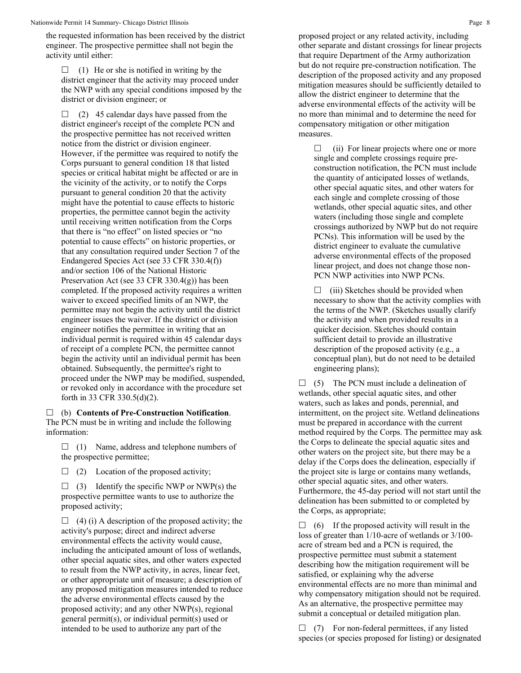the requested information has been received by the district engineer. The prospective permittee shall not begin the activity until either:

 $\Box$  (1) He or she is notified in writing by the district engineer that the activity may proceed under the NWP with any special conditions imposed by the district or division engineer; or

 $\Box$  (2) 45 calendar days have passed from the district engineer's receipt of the complete PCN and the prospective permittee has not received written notice from the district or division engineer. However, if the permittee was required to notify the Corps pursuant to general condition 18 that listed species or critical habitat might be affected or are in the vicinity of the activity, or to notify the Corps pursuant to general condition 20 that the activity might have the potential to cause effects to historic properties, the permittee cannot begin the activity until receiving written notification from the Corps that there is "no effect" on listed species or "no potential to cause effects" on historic properties, or that any consultation required under Section 7 of the Endangered Species Act (see 33 CFR 330.4(f)) and/or section 106 of the National Historic Preservation Act (see 33 CFR 330.4(g)) has been completed. If the proposed activity requires a written waiver to exceed specified limits of an NWP, the permittee may not begin the activity until the district engineer issues the waiver. If the district or division engineer notifies the permittee in writing that an individual permit is required within 45 calendar days of receipt of a complete PCN, the permittee cannot begin the activity until an individual permit has been obtained. Subsequently, the permittee's right to proceed under the NWP may be modified, suspended, or revoked only in accordance with the procedure set forth in 33 CFR 330.5(d)(2).

 (b) **Contents of Pre-Construction Notification**. The PCN must be in writing and include the following information:

 $\Box$  (1) Name, address and telephone numbers of the prospective permittee;

 $\Box$  (2) Location of the proposed activity;

 $\Box$  (3) Identify the specific NWP or NWP(s) the prospective permittee wants to use to authorize the proposed activity;

 $\Box$  (4) (i) A description of the proposed activity; the activity's purpose; direct and indirect adverse environmental effects the activity would cause, including the anticipated amount of loss of wetlands, other special aquatic sites, and other waters expected to result from the NWP activity, in acres, linear feet, or other appropriate unit of measure; a description of any proposed mitigation measures intended to reduce the adverse environmental effects caused by the proposed activity; and any other NWP(s), regional general permit(s), or individual permit(s) used or intended to be used to authorize any part of the

proposed project or any related activity, including other separate and distant crossings for linear projects that require Department of the Army authorization but do not require pre-construction notification. The description of the proposed activity and any proposed mitigation measures should be sufficiently detailed to allow the district engineer to determine that the adverse environmental effects of the activity will be no more than minimal and to determine the need for compensatory mitigation or other mitigation measures.

 $\Box$  (ii) For linear projects where one or more single and complete crossings require preconstruction notification, the PCN must include the quantity of anticipated losses of wetlands, other special aquatic sites, and other waters for each single and complete crossing of those wetlands, other special aquatic sites, and other waters (including those single and complete crossings authorized by NWP but do not require PCNs). This information will be used by the district engineer to evaluate the cumulative adverse environmental effects of the proposed linear project, and does not change those non-PCN NWP activities into NWP PCNs.

 $\Box$  (iii) Sketches should be provided when necessary to show that the activity complies with the terms of the NWP. (Sketches usually clarify the activity and when provided results in a quicker decision. Sketches should contain sufficient detail to provide an illustrative description of the proposed activity (e.g., a conceptual plan), but do not need to be detailed engineering plans);

 $\Box$  (5) The PCN must include a delineation of wetlands, other special aquatic sites, and other waters, such as lakes and ponds, perennial, and intermittent, on the project site. Wetland delineations must be prepared in accordance with the current method required by the Corps. The permittee may ask the Corps to delineate the special aquatic sites and other waters on the project site, but there may be a delay if the Corps does the delineation, especially if the project site is large or contains many wetlands, other special aquatic sites, and other waters. Furthermore, the 45-day period will not start until the delineation has been submitted to or completed by the Corps, as appropriate;

 $\Box$  (6) If the proposed activity will result in the loss of greater than 1/10-acre of wetlands or 3/100 acre of stream bed and a PCN is required, the prospective permittee must submit a statement describing how the mitigation requirement will be satisfied, or explaining why the adverse environmental effects are no more than minimal and why compensatory mitigation should not be required. As an alternative, the prospective permittee may submit a conceptual or detailed mitigation plan.

 $\Box$  (7) For non-federal permittees, if any listed species (or species proposed for listing) or designated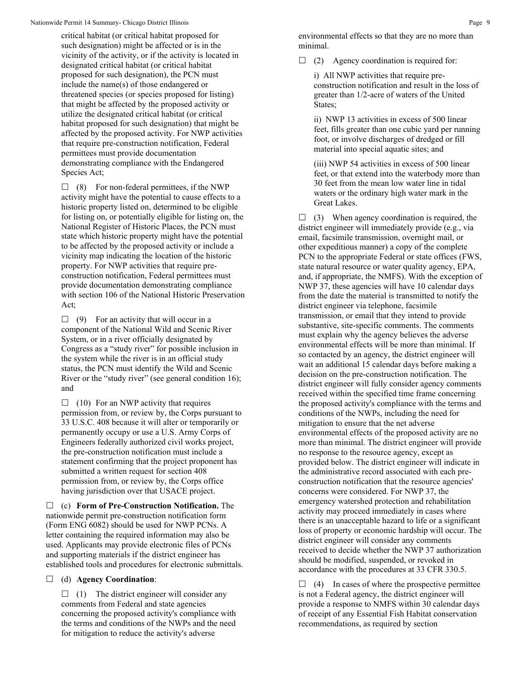critical habitat (or critical habitat proposed for such designation) might be affected or is in the vicinity of the activity, or if the activity is located in designated critical habitat (or critical habitat proposed for such designation), the PCN must include the name(s) of those endangered or threatened species (or species proposed for listing) that might be affected by the proposed activity or utilize the designated critical habitat (or critical habitat proposed for such designation) that might be affected by the proposed activity. For NWP activities that require pre-construction notification, Federal permittees must provide documentation demonstrating compliance with the Endangered Species Act;

 $\Box$  (8) For non-federal permittees, if the NWP activity might have the potential to cause effects to a historic property listed on, determined to be eligible for listing on, or potentially eligible for listing on, the National Register of Historic Places, the PCN must state which historic property might have the potential to be affected by the proposed activity or include a vicinity map indicating the location of the historic property. For NWP activities that require preconstruction notification, Federal permittees must provide documentation demonstrating compliance with section 106 of the National Historic Preservation Act;

 $\Box$  (9) For an activity that will occur in a component of the National Wild and Scenic River System, or in a river officially designated by Congress as a "study river" for possible inclusion in the system while the river is in an official study status, the PCN must identify the Wild and Scenic River or the "study river" (see general condition 16); and

 $\Box$  (10) For an NWP activity that requires permission from, or review by, the Corps pursuant to 33 U.S.C. 408 because it will alter or temporarily or permanently occupy or use a U.S. Army Corps of Engineers federally authorized civil works project, the pre-construction notification must include a statement confirming that the project proponent has submitted a written request for section 408 permission from, or review by, the Corps office having jurisdiction over that USACE project.

 (c) **Form of Pre-Construction Notification.** The nationwide permit pre-construction notification form (Form ENG 6082) should be used for NWP PCNs. A letter containing the required information may also be used. Applicants may provide electronic files of PCNs and supporting materials if the district engineer has established tools and procedures for electronic submittals.

(d) **Agency Coordination**:

 $\Box$  (1) The district engineer will consider any comments from Federal and state agencies concerning the proposed activity's compliance with the terms and conditions of the NWPs and the need for mitigation to reduce the activity's adverse

environmental effects so that they are no more than minimal.

 $\Box$  (2) Agency coordination is required for:

i) All NWP activities that require preconstruction notification and result in the loss of greater than 1/2-acre of waters of the United States;

ii) NWP 13 activities in excess of 500 linear feet, fills greater than one cubic yard per running foot, or involve discharges of dredged or fill material into special aquatic sites; and

(iii) NWP 54 activities in excess of 500 linear feet, or that extend into the waterbody more than 30 feet from the mean low water line in tidal waters or the ordinary high water mark in the Great Lakes.

 $\Box$  (3) When agency coordination is required, the district engineer will immediately provide (e.g., via email, facsimile transmission, overnight mail, or other expeditious manner) a copy of the complete PCN to the appropriate Federal or state offices (FWS, state natural resource or water quality agency, EPA, and, if appropriate, the NMFS). With the exception of NWP 37, these agencies will have 10 calendar days from the date the material is transmitted to notify the district engineer via telephone, facsimile transmission, or email that they intend to provide substantive, site-specific comments. The comments must explain why the agency believes the adverse environmental effects will be more than minimal. If so contacted by an agency, the district engineer will wait an additional 15 calendar days before making a decision on the pre-construction notification. The district engineer will fully consider agency comments received within the specified time frame concerning the proposed activity's compliance with the terms and conditions of the NWPs, including the need for mitigation to ensure that the net adverse environmental effects of the proposed activity are no more than minimal. The district engineer will provide no response to the resource agency, except as provided below. The district engineer will indicate in the administrative record associated with each preconstruction notification that the resource agencies' concerns were considered. For NWP 37, the emergency watershed protection and rehabilitation activity may proceed immediately in cases where there is an unacceptable hazard to life or a significant loss of property or economic hardship will occur. The district engineer will consider any comments received to decide whether the NWP 37 authorization should be modified, suspended, or revoked in accordance with the procedures at 33 CFR 330.5.

 $\Box$  (4) In cases of where the prospective permittee is not a Federal agency, the district engineer will provide a response to NMFS within 30 calendar days of receipt of any Essential Fish Habitat conservation recommendations, as required by section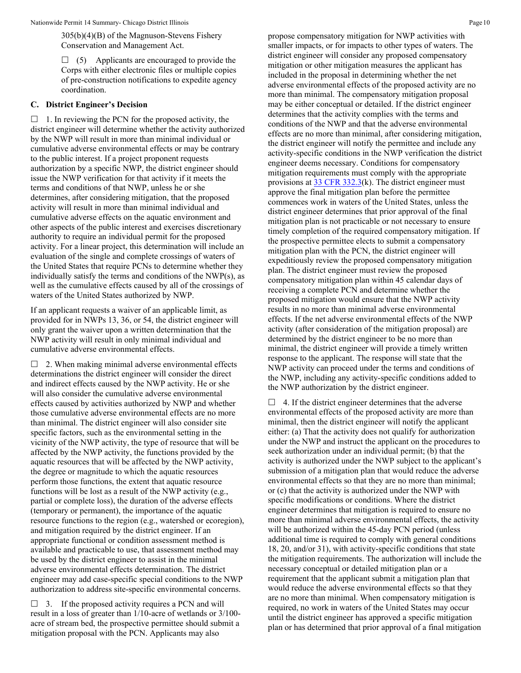305(b)(4)(B) of the Magnuson-Stevens Fishery Conservation and Management Act.

 $\Box$  (5) Applicants are encouraged to provide the Corps with either electronic files or multiple copies of pre-construction notifications to expedite agency coordination.

## **C. District Engineer's Decision**

 $\Box$  1. In reviewing the PCN for the proposed activity, the district engineer will determine whether the activity authorized by the NWP will result in more than minimal individual or cumulative adverse environmental effects or may be contrary to the public interest. If a project proponent requests authorization by a specific NWP, the district engineer should issue the NWP verification for that activity if it meets the terms and conditions of that NWP, unless he or she determines, after considering mitigation, that the proposed activity will result in more than minimal individual and cumulative adverse effects on the aquatic environment and other aspects of the public interest and exercises discretionary authority to require an individual permit for the proposed activity. For a linear project, this determination will include an evaluation of the single and complete crossings of waters of the United States that require PCNs to determine whether they individually satisfy the terms and conditions of the NWP(s), as well as the cumulative effects caused by all of the crossings of waters of the United States authorized by NWP.

If an applicant requests a waiver of an applicable limit, as provided for in NWPs 13, 36, or 54, the district engineer will only grant the waiver upon a written determination that the NWP activity will result in only minimal individual and cumulative adverse environmental effects.

 $\Box$  2. When making minimal adverse environmental effects determinations the district engineer will consider the direct and indirect effects caused by the NWP activity. He or she will also consider the cumulative adverse environmental effects caused by activities authorized by NWP and whether those cumulative adverse environmental effects are no more than minimal. The district engineer will also consider site specific factors, such as the environmental setting in the vicinity of the NWP activity, the type of resource that will be affected by the NWP activity, the functions provided by the aquatic resources that will be affected by the NWP activity, the degree or magnitude to which the aquatic resources perform those functions, the extent that aquatic resource functions will be lost as a result of the NWP activity (e.g., partial or complete loss), the duration of the adverse effects (temporary or permanent), the importance of the aquatic resource functions to the region (e.g., watershed or ecoregion), and mitigation required by the district engineer. If an appropriate functional or condition assessment method is available and practicable to use, that assessment method may be used by the district engineer to assist in the minimal adverse environmental effects determination. The district engineer may add case-specific special conditions to the NWP authorization to address site-specific environmental concerns.

 $\Box$  3. If the proposed activity requires a PCN and will result in a loss of greater than 1/10-acre of wetlands or 3/100 acre of stream bed, the prospective permittee should submit a mitigation proposal with the PCN. Applicants may also

propose compensatory mitigation for NWP activities with smaller impacts, or for impacts to other types of waters. The district engineer will consider any proposed compensatory mitigation or other mitigation measures the applicant has included in the proposal in determining whether the net adverse environmental effects of the proposed activity are no more than minimal. The compensatory mitigation proposal may be either conceptual or detailed. If the district engineer determines that the activity complies with the terms and conditions of the NWP and that the adverse environmental effects are no more than minimal, after considering mitigation, the district engineer will notify the permittee and include any activity-specific conditions in the NWP verification the district engineer deems necessary. Conditions for compensatory mitigation requirements must comply with the appropriate provisions at  $\frac{33 \text{ CFR } 332.3}{\text{CFR } 332.3}$  (k). The district engineer must approve the final mitigation plan before the permittee commences work in waters of the United States, unless the district engineer determines that prior approval of the final mitigation plan is not practicable or not necessary to ensure timely completion of the required compensatory mitigation. If the prospective permittee elects to submit a compensatory mitigation plan with the PCN, the district engineer will expeditiously review the proposed compensatory mitigation plan. The district engineer must review the proposed compensatory mitigation plan within 45 calendar days of receiving a complete PCN and determine whether the proposed mitigation would ensure that the NWP activity results in no more than minimal adverse environmental effects. If the net adverse environmental effects of the NWP activity (after consideration of the mitigation proposal) are determined by the district engineer to be no more than minimal, the district engineer will provide a timely written response to the applicant. The response will state that the NWP activity can proceed under the terms and conditions of the NWP, including any activity-specific conditions added to the NWP authorization by the district engineer.

 $\Box$  4. If the district engineer determines that the adverse environmental effects of the proposed activity are more than minimal, then the district engineer will notify the applicant either: (a) That the activity does not qualify for authorization under the NWP and instruct the applicant on the procedures to seek authorization under an individual permit; (b) that the activity is authorized under the NWP subject to the applicant's submission of a mitigation plan that would reduce the adverse environmental effects so that they are no more than minimal; or (c) that the activity is authorized under the NWP with specific modifications or conditions. Where the district engineer determines that mitigation is required to ensure no more than minimal adverse environmental effects, the activity will be authorized within the 45-day PCN period (unless additional time is required to comply with general conditions 18, 20, and/or 31), with activity-specific conditions that state the mitigation requirements. The authorization will include the necessary conceptual or detailed mitigation plan or a requirement that the applicant submit a mitigation plan that would reduce the adverse environmental effects so that they are no more than minimal. When compensatory mitigation is required, no work in waters of the United States may occur until the district engineer has approved a specific mitigation plan or has determined that prior approval of a final mitigation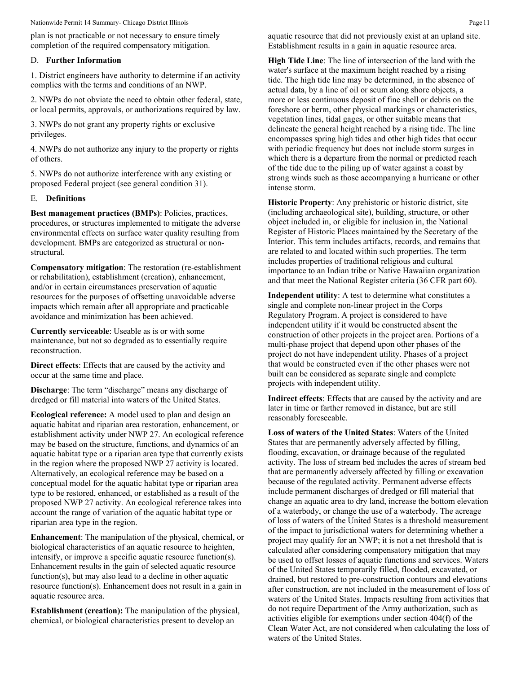plan is not practicable or not necessary to ensure timely completion of the required compensatory mitigation.

## D. **Further Information**

1. District engineers have authority to determine if an activity complies with the terms and conditions of an NWP.

2. NWPs do not obviate the need to obtain other federal, state, or local permits, approvals, or authorizations required by law.

3. NWPs do not grant any property rights or exclusive privileges.

4. NWPs do not authorize any injury to the property or rights of others.

5. NWPs do not authorize interference with any existing or proposed Federal project (see general condition 31).

#### E. **Definitions**

**Best management practices (BMPs)**: Policies, practices, procedures, or structures implemented to mitigate the adverse environmental effects on surface water quality resulting from development. BMPs are categorized as structural or nonstructural.

**Compensatory mitigation**: The restoration (re-establishment or rehabilitation), establishment (creation), enhancement, and/or in certain circumstances preservation of aquatic resources for the purposes of offsetting unavoidable adverse impacts which remain after all appropriate and practicable avoidance and minimization has been achieved.

**Currently serviceable**: Useable as is or with some maintenance, but not so degraded as to essentially require reconstruction.

**Direct effects**: Effects that are caused by the activity and occur at the same time and place.

**Discharge:** The term "discharge" means any discharge of dredged or fill material into waters of the United States.

**Ecological reference:** A model used to plan and design an aquatic habitat and riparian area restoration, enhancement, or establishment activity under NWP 27. An ecological reference may be based on the structure, functions, and dynamics of an aquatic habitat type or a riparian area type that currently exists in the region where the proposed NWP 27 activity is located. Alternatively, an ecological reference may be based on a conceptual model for the aquatic habitat type or riparian area type to be restored, enhanced, or established as a result of the proposed NWP 27 activity. An ecological reference takes into account the range of variation of the aquatic habitat type or riparian area type in the region.

**Enhancement**: The manipulation of the physical, chemical, or biological characteristics of an aquatic resource to heighten, intensify, or improve a specific aquatic resource function(s). Enhancement results in the gain of selected aquatic resource function(s), but may also lead to a decline in other aquatic resource function(s). Enhancement does not result in a gain in aquatic resource area.

**Establishment (creation):** The manipulation of the physical, chemical, or biological characteristics present to develop an

aquatic resource that did not previously exist at an upland site. Establishment results in a gain in aquatic resource area.

**High Tide Line**: The line of intersection of the land with the water's surface at the maximum height reached by a rising tide. The high tide line may be determined, in the absence of actual data, by a line of oil or scum along shore objects, a more or less continuous deposit of fine shell or debris on the foreshore or berm, other physical markings or characteristics, vegetation lines, tidal gages, or other suitable means that delineate the general height reached by a rising tide. The line encompasses spring high tides and other high tides that occur with periodic frequency but does not include storm surges in which there is a departure from the normal or predicted reach of the tide due to the piling up of water against a coast by strong winds such as those accompanying a hurricane or other intense storm.

**Historic Property**: Any prehistoric or historic district, site (including archaeological site), building, structure, or other object included in, or eligible for inclusion in, the National Register of Historic Places maintained by the Secretary of the Interior. This term includes artifacts, records, and remains that are related to and located within such properties. The term includes properties of traditional religious and cultural importance to an Indian tribe or Native Hawaiian organization and that meet the National Register criteria (36 CFR part 60).

**Independent utility**: A test to determine what constitutes a single and complete non-linear project in the Corps Regulatory Program. A project is considered to have independent utility if it would be constructed absent the construction of other projects in the project area. Portions of a multi-phase project that depend upon other phases of the project do not have independent utility. Phases of a project that would be constructed even if the other phases were not built can be considered as separate single and complete projects with independent utility.

**Indirect effects**: Effects that are caused by the activity and are later in time or farther removed in distance, but are still reasonably foreseeable.

**Loss of waters of the United States**: Waters of the United States that are permanently adversely affected by filling, flooding, excavation, or drainage because of the regulated activity. The loss of stream bed includes the acres of stream bed that are permanently adversely affected by filling or excavation because of the regulated activity. Permanent adverse effects include permanent discharges of dredged or fill material that change an aquatic area to dry land, increase the bottom elevation of a waterbody, or change the use of a waterbody. The acreage of loss of waters of the United States is a threshold measurement of the impact to jurisdictional waters for determining whether a project may qualify for an NWP; it is not a net threshold that is calculated after considering compensatory mitigation that may be used to offset losses of aquatic functions and services. Waters of the United States temporarily filled, flooded, excavated, or drained, but restored to pre-construction contours and elevations after construction, are not included in the measurement of loss of waters of the United States. Impacts resulting from activities that do not require Department of the Army authorization, such as activities eligible for exemptions under section 404(f) of the Clean Water Act, are not considered when calculating the loss of waters of the United States.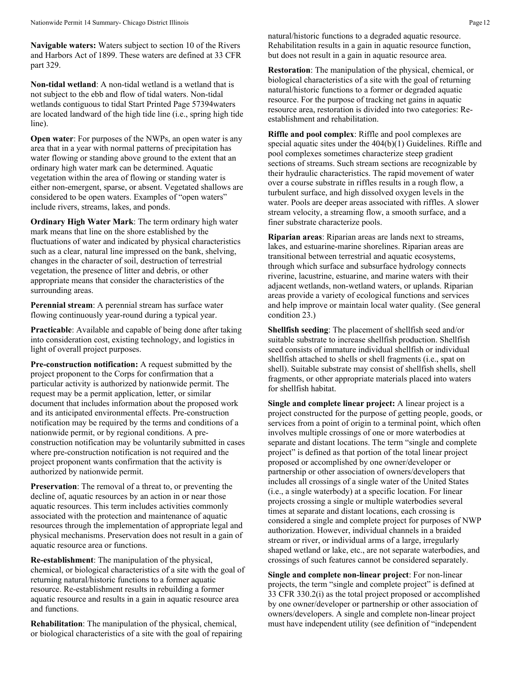**Navigable waters:** Waters subject to section 10 of the Rivers and Harbors Act of 1899. These waters are defined at 33 CFR part 329.

**Non-tidal wetland**: A non-tidal wetland is a wetland that is not subject to the ebb and flow of tidal waters. Non-tidal wetlands contiguous to tidal Start Printed Page 57394waters are located landward of the high tide line (i.e., spring high tide line).

**Open water:** For purposes of the NWPs, an open water is any area that in a year with normal patterns of precipitation has water flowing or standing above ground to the extent that an ordinary high water mark can be determined. Aquatic vegetation within the area of flowing or standing water is either non-emergent, sparse, or absent. Vegetated shallows are considered to be open waters. Examples of "open waters" include rivers, streams, lakes, and ponds.

**Ordinary High Water Mark**: The term ordinary high water mark means that line on the shore established by the fluctuations of water and indicated by physical characteristics such as a clear, natural line impressed on the bank, shelving, changes in the character of soil, destruction of terrestrial vegetation, the presence of litter and debris, or other appropriate means that consider the characteristics of the surrounding areas.

**Perennial stream**: A perennial stream has surface water flowing continuously year-round during a typical year.

**Practicable:** Available and capable of being done after taking into consideration cost, existing technology, and logistics in light of overall project purposes.

**Pre-construction notification:** A request submitted by the project proponent to the Corps for confirmation that a particular activity is authorized by nationwide permit. The request may be a permit application, letter, or similar document that includes information about the proposed work and its anticipated environmental effects. Pre-construction notification may be required by the terms and conditions of a nationwide permit, or by regional conditions. A preconstruction notification may be voluntarily submitted in cases where pre-construction notification is not required and the project proponent wants confirmation that the activity is authorized by nationwide permit.

**Preservation**: The removal of a threat to, or preventing the decline of, aquatic resources by an action in or near those aquatic resources. This term includes activities commonly associated with the protection and maintenance of aquatic resources through the implementation of appropriate legal and physical mechanisms. Preservation does not result in a gain of aquatic resource area or functions.

**Re-establishment**: The manipulation of the physical, chemical, or biological characteristics of a site with the goal of returning natural/historic functions to a former aquatic resource. Re-establishment results in rebuilding a former aquatic resource and results in a gain in aquatic resource area and functions.

**Rehabilitation**: The manipulation of the physical, chemical, or biological characteristics of a site with the goal of repairing natural/historic functions to a degraded aquatic resource. Rehabilitation results in a gain in aquatic resource function, but does not result in a gain in aquatic resource area.

**Restoration**: The manipulation of the physical, chemical, or biological characteristics of a site with the goal of returning natural/historic functions to a former or degraded aquatic resource. For the purpose of tracking net gains in aquatic resource area, restoration is divided into two categories: Reestablishment and rehabilitation.

**Riffle and pool complex**: Riffle and pool complexes are special aquatic sites under the 404(b)(1) Guidelines. Riffle and pool complexes sometimes characterize steep gradient sections of streams. Such stream sections are recognizable by their hydraulic characteristics. The rapid movement of water over a course substrate in riffles results in a rough flow, a turbulent surface, and high dissolved oxygen levels in the water. Pools are deeper areas associated with riffles. A slower stream velocity, a streaming flow, a smooth surface, and a finer substrate characterize pools.

**Riparian areas**: Riparian areas are lands next to streams, lakes, and estuarine-marine shorelines. Riparian areas are transitional between terrestrial and aquatic ecosystems, through which surface and subsurface hydrology connects riverine, lacustrine, estuarine, and marine waters with their adjacent wetlands, non-wetland waters, or uplands. Riparian areas provide a variety of ecological functions and services and help improve or maintain local water quality. (See general condition 23.)

**Shellfish seeding**: The placement of shellfish seed and/or suitable substrate to increase shellfish production. Shellfish seed consists of immature individual shellfish or individual shellfish attached to shells or shell fragments (i.e., spat on shell). Suitable substrate may consist of shellfish shells, shell fragments, or other appropriate materials placed into waters for shellfish habitat.

**Single and complete linear project:** A linear project is a project constructed for the purpose of getting people, goods, or services from a point of origin to a terminal point, which often involves multiple crossings of one or more waterbodies at separate and distant locations. The term "single and complete project" is defined as that portion of the total linear project proposed or accomplished by one owner/developer or partnership or other association of owners/developers that includes all crossings of a single water of the United States (i.e., a single waterbody) at a specific location. For linear projects crossing a single or multiple waterbodies several times at separate and distant locations, each crossing is considered a single and complete project for purposes of NWP authorization. However, individual channels in a braided stream or river, or individual arms of a large, irregularly shaped wetland or lake, etc., are not separate waterbodies, and crossings of such features cannot be considered separately.

**Single and complete non-linear project**: For non-linear projects, the term "single and complete project" is defined at 33 CFR 330.2(i) as the total project proposed or accomplished by one owner/developer or partnership or other association of owners/developers. A single and complete non-linear project must have independent utility (see definition of "independent